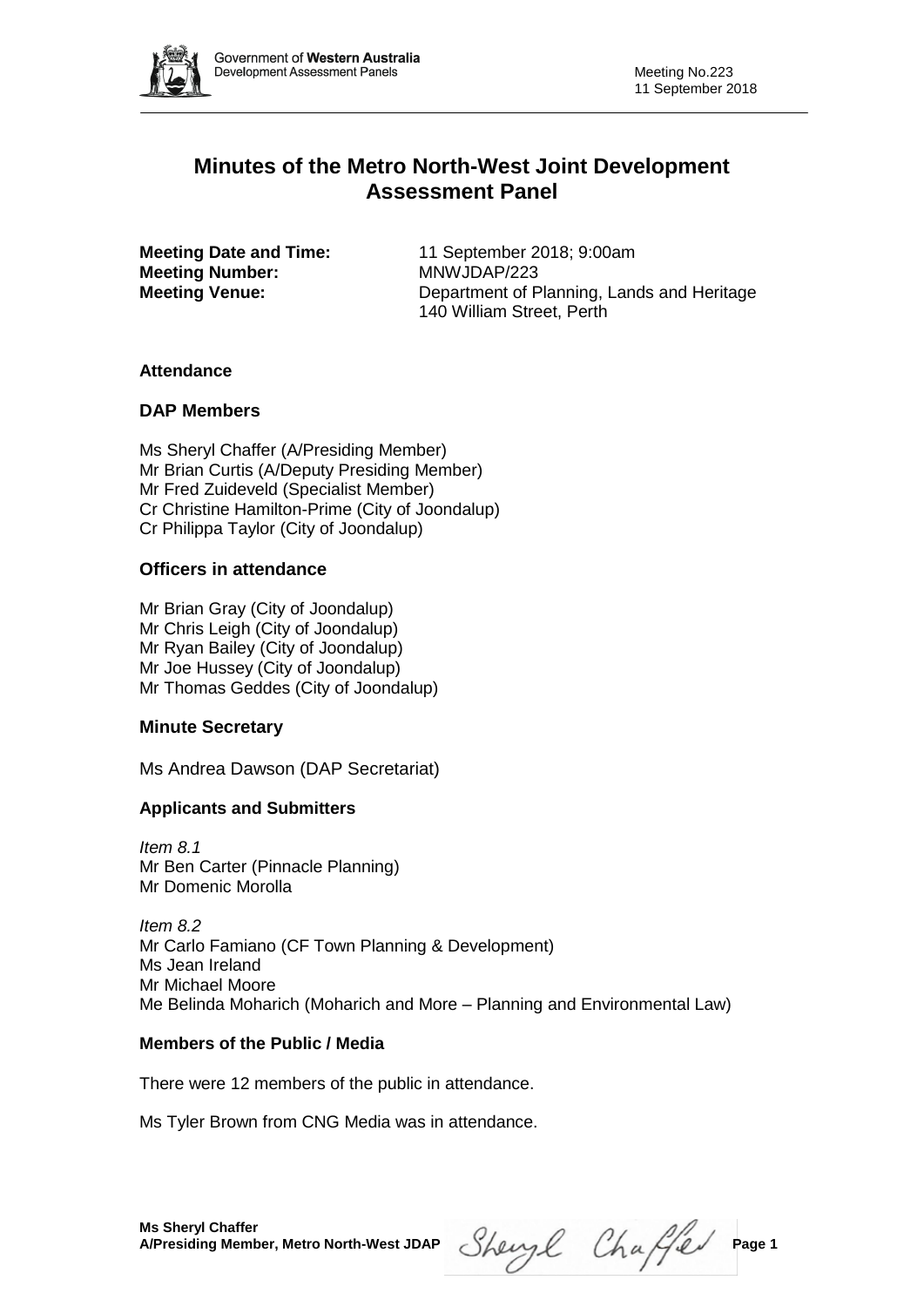

# **Minutes of the Metro North-West Joint Development Assessment Panel**

**Meeting Number:** MNWJDAP/223

**Meeting Date and Time:** 11 September 2018; 9:00am **Meeting Venue:** Department of Planning, Lands and Heritage 140 William Street, Perth

## **Attendance**

## **DAP Members**

Ms Sheryl Chaffer (A/Presiding Member) Mr Brian Curtis (A/Deputy Presiding Member) Mr Fred Zuideveld (Specialist Member) Cr Christine Hamilton-Prime (City of Joondalup) Cr Philippa Taylor (City of Joondalup)

## **Officers in attendance**

Mr Brian Gray (City of Joondalup) Mr Chris Leigh (City of Joondalup) Mr Ryan Bailey (City of Joondalup) Mr Joe Hussey (City of Joondalup) Mr Thomas Geddes (City of Joondalup)

## **Minute Secretary**

Ms Andrea Dawson (DAP Secretariat)

## **Applicants and Submitters**

*Item 8.1* Mr Ben Carter (Pinnacle Planning) Mr Domenic Morolla

*Item 8.2* Mr Carlo Famiano (CF Town Planning & Development) Ms Jean Ireland Mr Michael Moore Me Belinda Moharich (Moharich and More – Planning and Environmental Law)

## **Members of the Public / Media**

There were 12 members of the public in attendance.

Ms Tyler Brown from CNG Media was in attendance.

Sheryl Chaffer Page 1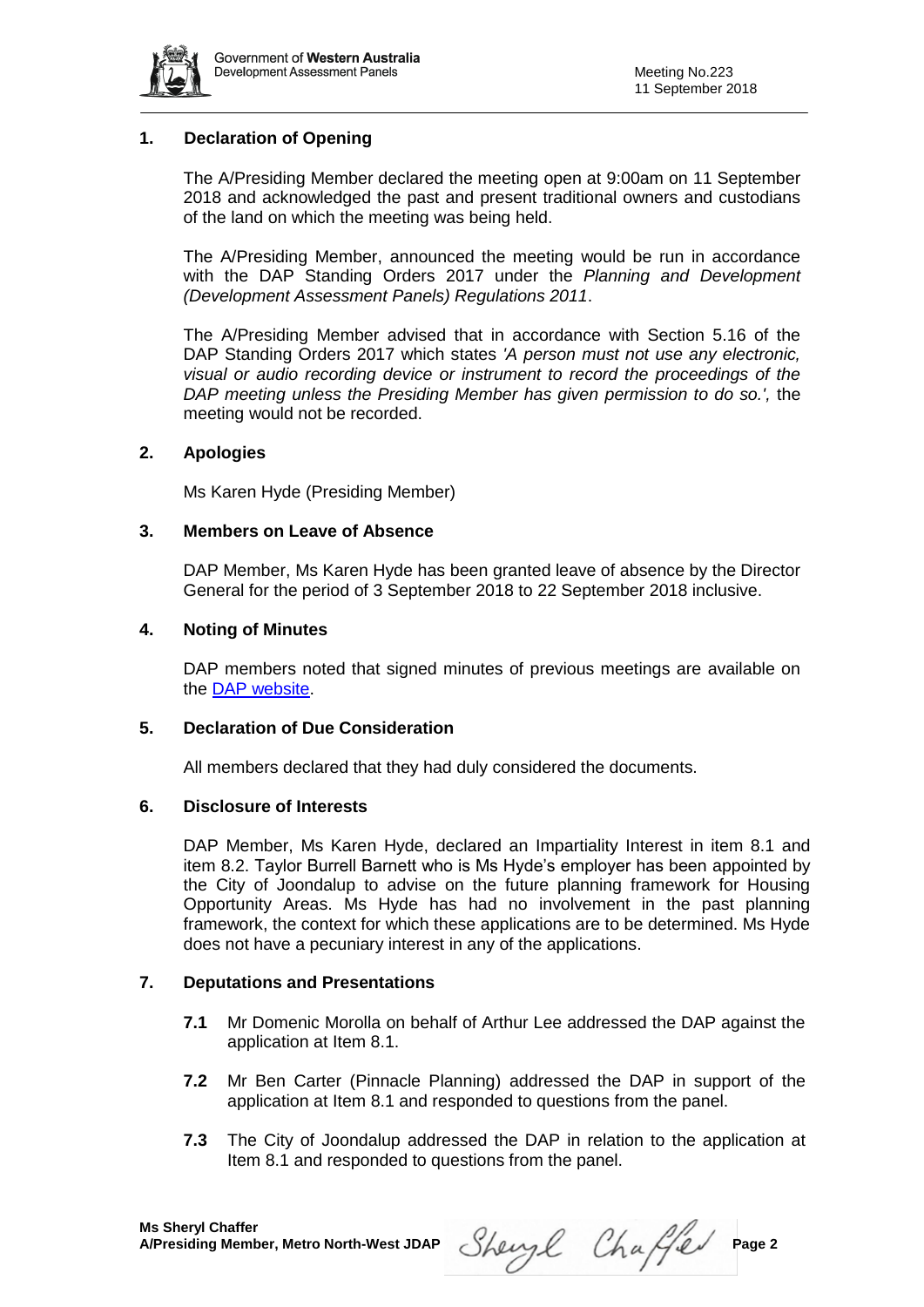

## **1. Declaration of Opening**

The A/Presiding Member declared the meeting open at 9:00am on 11 September 2018 and acknowledged the past and present traditional owners and custodians of the land on which the meeting was being held.

The A/Presiding Member, announced the meeting would be run in accordance with the DAP Standing Orders 2017 under the *Planning and Development (Development Assessment Panels) Regulations 2011*.

The A/Presiding Member advised that in accordance with Section 5.16 of the DAP Standing Orders 2017 which states *'A person must not use any electronic, visual or audio recording device or instrument to record the proceedings of the DAP meeting unless the Presiding Member has given permission to do so.',* the meeting would not be recorded.

### **2. Apologies**

Ms Karen Hyde (Presiding Member)

#### **3. Members on Leave of Absence**

DAP Member, Ms Karen Hyde has been granted leave of absence by the Director General for the period of 3 September 2018 to 22 September 2018 inclusive.

#### **4. Noting of Minutes**

DAP members noted that signed minutes of previous meetings are available on the [DAP website.](https://www.planning.wa.gov.au/7578.aspx)

#### **5. Declaration of Due Consideration**

All members declared that they had duly considered the documents.

#### **6. Disclosure of Interests**

DAP Member, Ms Karen Hyde, declared an Impartiality Interest in item 8.1 and item 8.2. Taylor Burrell Barnett who is Ms Hyde's employer has been appointed by the City of Joondalup to advise on the future planning framework for Housing Opportunity Areas. Ms Hyde has had no involvement in the past planning framework, the context for which these applications are to be determined. Ms Hyde does not have a pecuniary interest in any of the applications.

#### **7. Deputations and Presentations**

- **7.1** Mr Domenic Morolla on behalf of Arthur Lee addressed the DAP against the application at Item 8.1.
- **7.2** Mr Ben Carter (Pinnacle Planning) addressed the DAP in support of the application at Item 8.1 and responded to questions from the panel.
- **7.3** The City of Joondalup addressed the DAP in relation to the application at Item 8.1 and responded to questions from the panel.

Sheryl Chaffer Page 2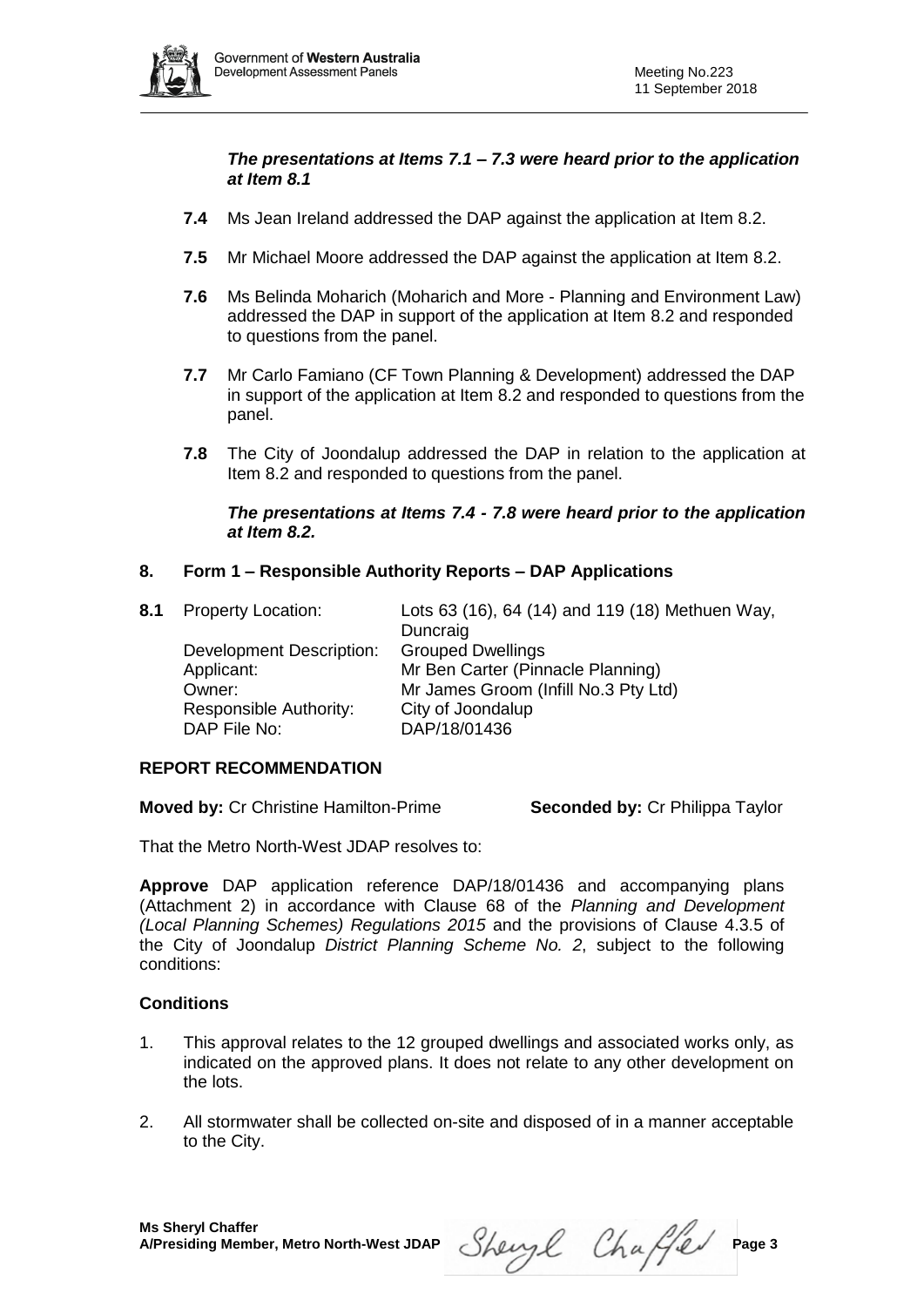

*The presentations at Items 7.1 – 7.3 were heard prior to the application at Item 8.1*

- **7.4** Ms Jean Ireland addressed the DAP against the application at Item 8.2.
- **7.5** Mr Michael Moore addressed the DAP against the application at Item 8.2.
- **7.6** Ms Belinda Moharich (Moharich and More Planning and Environment Law) addressed the DAP in support of the application at Item 8.2 and responded to questions from the panel.
- **7.7** Mr Carlo Famiano (CF Town Planning & Development) addressed the DAP in support of the application at Item 8.2 and responded to questions from the panel.
- **7.8** The City of Joondalup addressed the DAP in relation to the application at Item 8.2 and responded to questions from the panel.

#### *The presentations at Items 7.4 - 7.8 were heard prior to the application at Item 8.2.*

## **8. Form 1 – Responsible Authority Reports – DAP Applications**

Development Description: Grouped Dwellings Responsible Authority: City of Joondalup DAP File No: DAP/18/01436

**8.1** Property Location: Lots 63 (16), 64 (14) and 119 (18) Methuen Way, Duncraig Applicant: Mr Ben Carter (Pinnacle Planning) Owner: Mr James Groom (Infill No.3 Pty Ltd)

## **REPORT RECOMMENDATION**

**Moved by:** Cr Christine Hamilton-Prime **Seconded by:** Cr Philippa Taylor

That the Metro North-West JDAP resolves to:

**Approve** DAP application reference DAP/18/01436 and accompanying plans (Attachment 2) in accordance with Clause 68 of the *Planning and Development (Local Planning Schemes) Regulations 2015* and the provisions of Clause 4.3.5 of the City of Joondalup *District Planning Scheme No. 2*, subject to the following conditions:

## **Conditions**

- 1. This approval relates to the 12 grouped dwellings and associated works only, as indicated on the approved plans. It does not relate to any other development on the lots.
- 2. All stormwater shall be collected on-site and disposed of in a manner acceptable to the City.

Sheryl Chaffer Page 3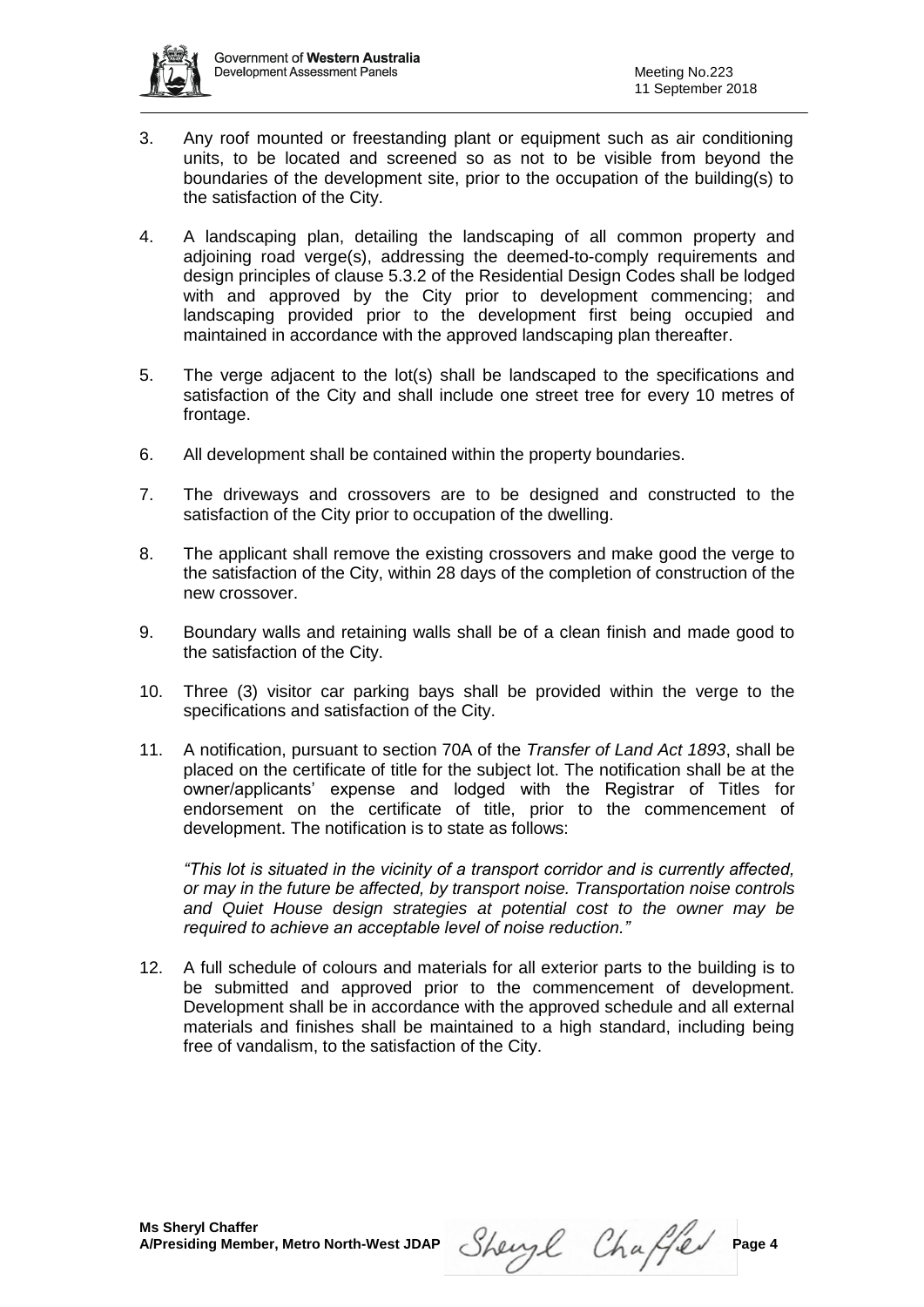

- 3. Any roof mounted or freestanding plant or equipment such as air conditioning units, to be located and screened so as not to be visible from beyond the boundaries of the development site, prior to the occupation of the building(s) to the satisfaction of the City.
- 4. A landscaping plan, detailing the landscaping of all common property and adjoining road verge(s), addressing the deemed-to-comply requirements and design principles of clause 5.3.2 of the Residential Design Codes shall be lodged with and approved by the City prior to development commencing; and landscaping provided prior to the development first being occupied and maintained in accordance with the approved landscaping plan thereafter.
- 5. The verge adjacent to the lot(s) shall be landscaped to the specifications and satisfaction of the City and shall include one street tree for every 10 metres of frontage.
- 6. All development shall be contained within the property boundaries.
- 7. The driveways and crossovers are to be designed and constructed to the satisfaction of the City prior to occupation of the dwelling.
- 8. The applicant shall remove the existing crossovers and make good the verge to the satisfaction of the City, within 28 days of the completion of construction of the new crossover.
- 9. Boundary walls and retaining walls shall be of a clean finish and made good to the satisfaction of the City.
- 10. Three (3) visitor car parking bays shall be provided within the verge to the specifications and satisfaction of the City.
- 11. A notification, pursuant to section 70A of the *Transfer of Land Act 1893*, shall be placed on the certificate of title for the subject lot. The notification shall be at the owner/applicants' expense and lodged with the Registrar of Titles for endorsement on the certificate of title, prior to the commencement of development. The notification is to state as follows:

*"This lot is situated in the vicinity of a transport corridor and is currently affected, or may in the future be affected, by transport noise. Transportation noise controls and Quiet House design strategies at potential cost to the owner may be required to achieve an acceptable level of noise reduction."*

12. A full schedule of colours and materials for all exterior parts to the building is to be submitted and approved prior to the commencement of development. Development shall be in accordance with the approved schedule and all external materials and finishes shall be maintained to a high standard, including being free of vandalism, to the satisfaction of the City.

Sheryl Chaffer Page 4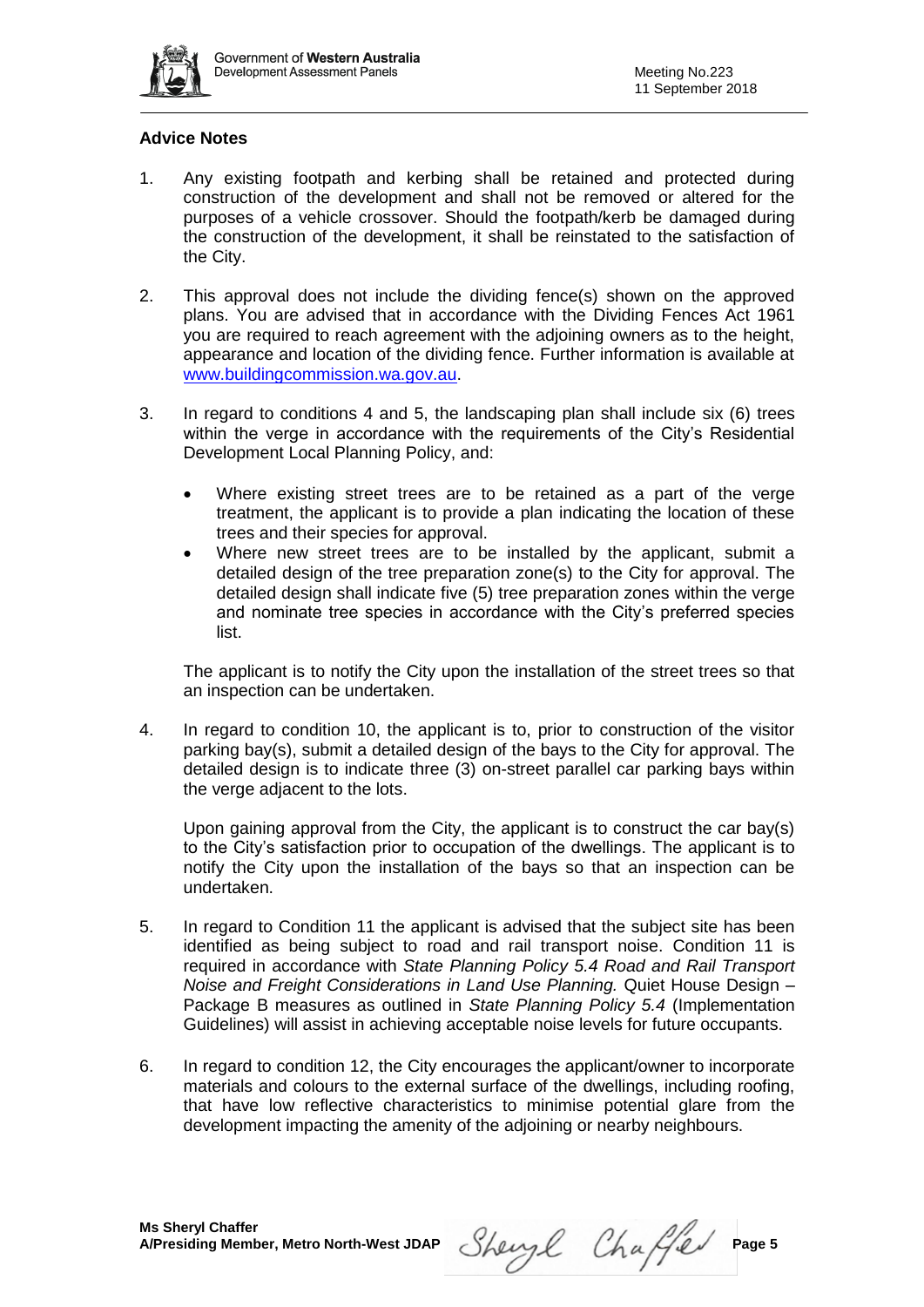

### **Advice Notes**

- 1. Any existing footpath and kerbing shall be retained and protected during construction of the development and shall not be removed or altered for the purposes of a vehicle crossover. Should the footpath/kerb be damaged during the construction of the development, it shall be reinstated to the satisfaction of the City.
- 2. This approval does not include the dividing fence(s) shown on the approved plans. You are advised that in accordance with the Dividing Fences Act 1961 you are required to reach agreement with the adjoining owners as to the height, appearance and location of the dividing fence. Further information is available at [www.buildingcommission.wa.gov.au.](http://www.buildingcommission.wa.gov.au/)
- 3. In regard to conditions 4 and 5, the landscaping plan shall include six (6) trees within the verge in accordance with the requirements of the City's Residential Development Local Planning Policy, and:
	- Where existing street trees are to be retained as a part of the verge treatment, the applicant is to provide a plan indicating the location of these trees and their species for approval.
	- Where new street trees are to be installed by the applicant, submit a detailed design of the tree preparation zone(s) to the City for approval. The detailed design shall indicate five (5) tree preparation zones within the verge and nominate tree species in accordance with the City's preferred species list.

The applicant is to notify the City upon the installation of the street trees so that an inspection can be undertaken.

4. In regard to condition 10, the applicant is to, prior to construction of the visitor parking bay(s), submit a detailed design of the bays to the City for approval. The detailed design is to indicate three (3) on-street parallel car parking bays within the verge adjacent to the lots.

Upon gaining approval from the City, the applicant is to construct the car bay(s) to the City's satisfaction prior to occupation of the dwellings. The applicant is to notify the City upon the installation of the bays so that an inspection can be undertaken.

- 5. In regard to Condition 11 the applicant is advised that the subject site has been identified as being subject to road and rail transport noise. Condition 11 is required in accordance with *State Planning Policy 5.4 Road and Rail Transport Noise and Freight Considerations in Land Use Planning.* Quiet House Design – Package B measures as outlined in *State Planning Policy 5.4* (Implementation Guidelines) will assist in achieving acceptable noise levels for future occupants.
- 6. In regard to condition 12, the City encourages the applicant/owner to incorporate materials and colours to the external surface of the dwellings, including roofing, that have low reflective characteristics to minimise potential glare from the development impacting the amenity of the adjoining or nearby neighbours.

A/Presiding Member, Metro North-West JDAP Sherryl Chaffed Page 5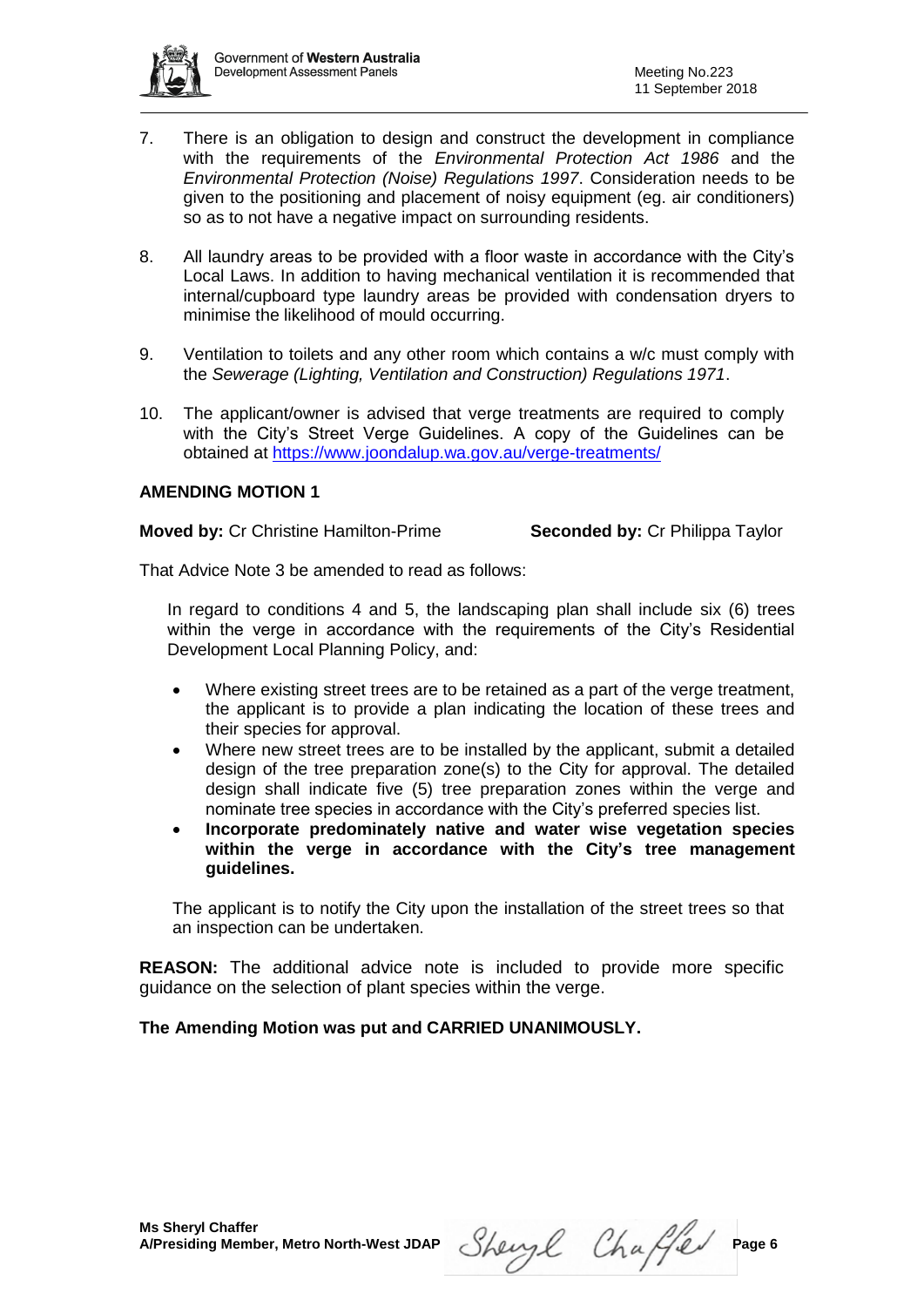

- 7. There is an obligation to design and construct the development in compliance with the requirements of the *Environmental Protection Act 1986* and the *Environmental Protection (Noise) Regulations 1997*. Consideration needs to be given to the positioning and placement of noisy equipment (eg. air conditioners) so as to not have a negative impact on surrounding residents.
- 8. All laundry areas to be provided with a floor waste in accordance with the City's Local Laws. In addition to having mechanical ventilation it is recommended that internal/cupboard type laundry areas be provided with condensation dryers to minimise the likelihood of mould occurring.
- 9. Ventilation to toilets and any other room which contains a w/c must comply with the *Sewerage (Lighting, Ventilation and Construction) Regulations 1971*.
- 10. The applicant/owner is advised that verge treatments are required to comply with the City's Street Verge Guidelines. A copy of the Guidelines can be obtained at<https://www.joondalup.wa.gov.au/verge-treatments/>

## **AMENDING MOTION 1**

**Moved by:** Cr Christine Hamilton-Prime **Seconded by:** Cr Philippa Taylor

That Advice Note 3 be amended to read as follows:

In regard to conditions 4 and 5, the landscaping plan shall include six (6) trees within the verge in accordance with the requirements of the City's Residential Development Local Planning Policy, and:

- Where existing street trees are to be retained as a part of the verge treatment, the applicant is to provide a plan indicating the location of these trees and their species for approval.
- Where new street trees are to be installed by the applicant, submit a detailed design of the tree preparation zone(s) to the City for approval. The detailed design shall indicate five (5) tree preparation zones within the verge and nominate tree species in accordance with the City's preferred species list.
- **Incorporate predominately native and water wise vegetation species within the verge in accordance with the City's tree management guidelines.**

The applicant is to notify the City upon the installation of the street trees so that an inspection can be undertaken.

**REASON:** The additional advice note is included to provide more specific guidance on the selection of plant species within the verge.

## **The Amending Motion was put and CARRIED UNANIMOUSLY.**

**A/Presiding Member, Metro North-West JDAP** Sherry Chaffeld Page 6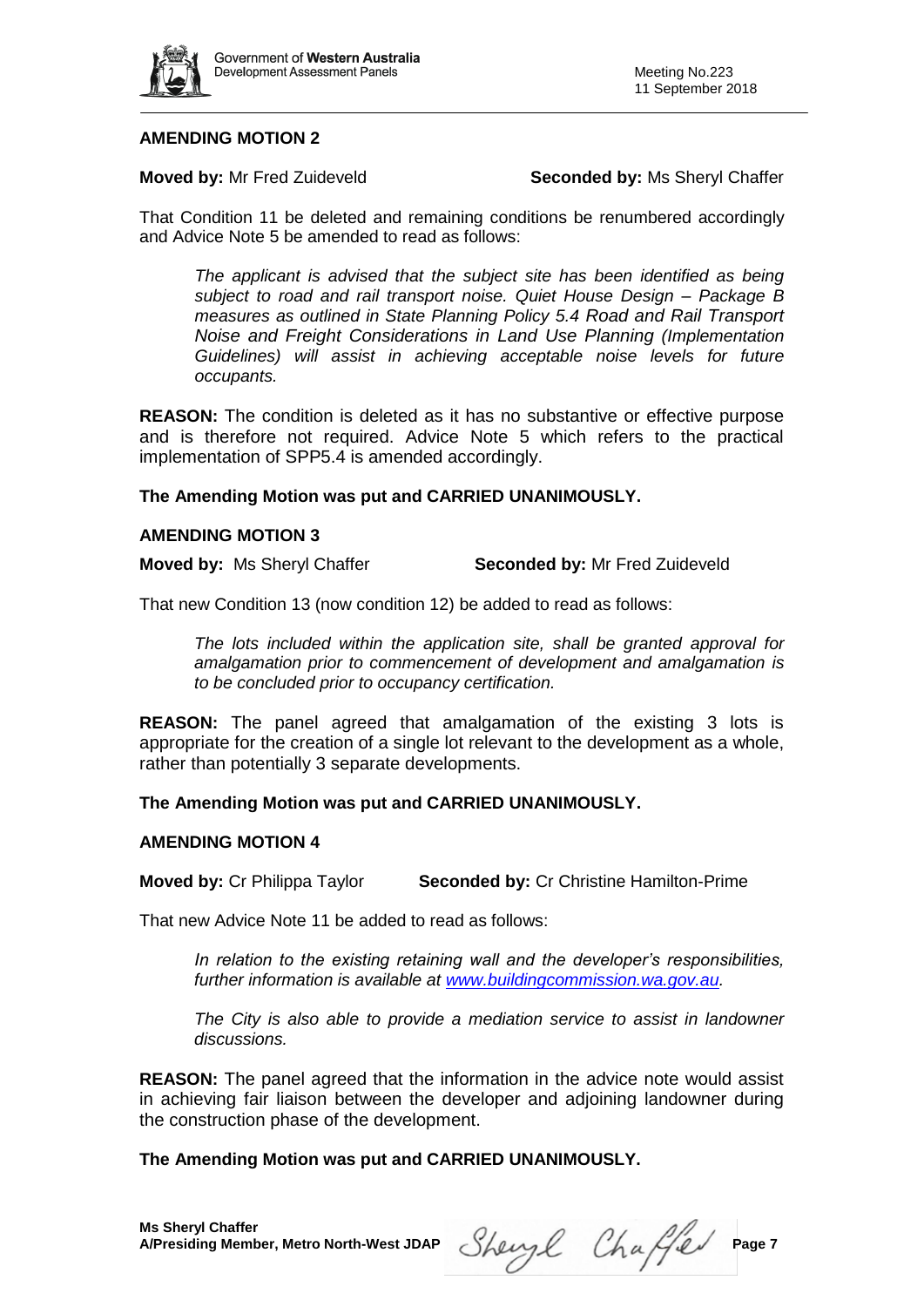

### **AMENDING MOTION 2**

**Moved by:** Mr Fred Zuideveld **Seconded by:** Ms Sheryl Chaffer

That Condition 11 be deleted and remaining conditions be renumbered accordingly and Advice Note 5 be amended to read as follows:

*The applicant is advised that the subject site has been identified as being subject to road and rail transport noise. Quiet House Design – Package B measures as outlined in State Planning Policy 5.4 Road and Rail Transport Noise and Freight Considerations in Land Use Planning (Implementation Guidelines) will assist in achieving acceptable noise levels for future occupants.*

**REASON:** The condition is deleted as it has no substantive or effective purpose and is therefore not required. Advice Note 5 which refers to the practical implementation of SPP5.4 is amended accordingly.

#### **The Amending Motion was put and CARRIED UNANIMOUSLY.**

#### **AMENDING MOTION 3**

**Moved by:** Ms Sheryl Chaffer **Seconded by:** Mr Fred Zuideveld

That new Condition 13 (now condition 12) be added to read as follows:

*The lots included within the application site, shall be granted approval for amalgamation prior to commencement of development and amalgamation is to be concluded prior to occupancy certification.*

**REASON:** The panel agreed that amalgamation of the existing 3 lots is appropriate for the creation of a single lot relevant to the development as a whole, rather than potentially 3 separate developments.

**The Amending Motion was put and CARRIED UNANIMOUSLY.**

#### **AMENDING MOTION 4**

**Moved by:** Cr Philippa Taylor **Seconded by:** Cr Christine Hamilton-Prime

That new Advice Note 11 be added to read as follows:

*In relation to the existing retaining wall and the developer's responsibilities, further information is available at [www.buildingcommission.wa.gov.au.](http://www.buildingcommission.wa.gov.au/)*

*The City is also able to provide a mediation service to assist in landowner discussions.* 

**REASON:** The panel agreed that the information in the advice note would assist in achieving fair liaison between the developer and adjoining landowner during the construction phase of the development.

## **The Amending Motion was put and CARRIED UNANIMOUSLY.**

**A/Presiding Member, Metro North-West JDAP** Sherry  $\ell$  Chaffel Page 7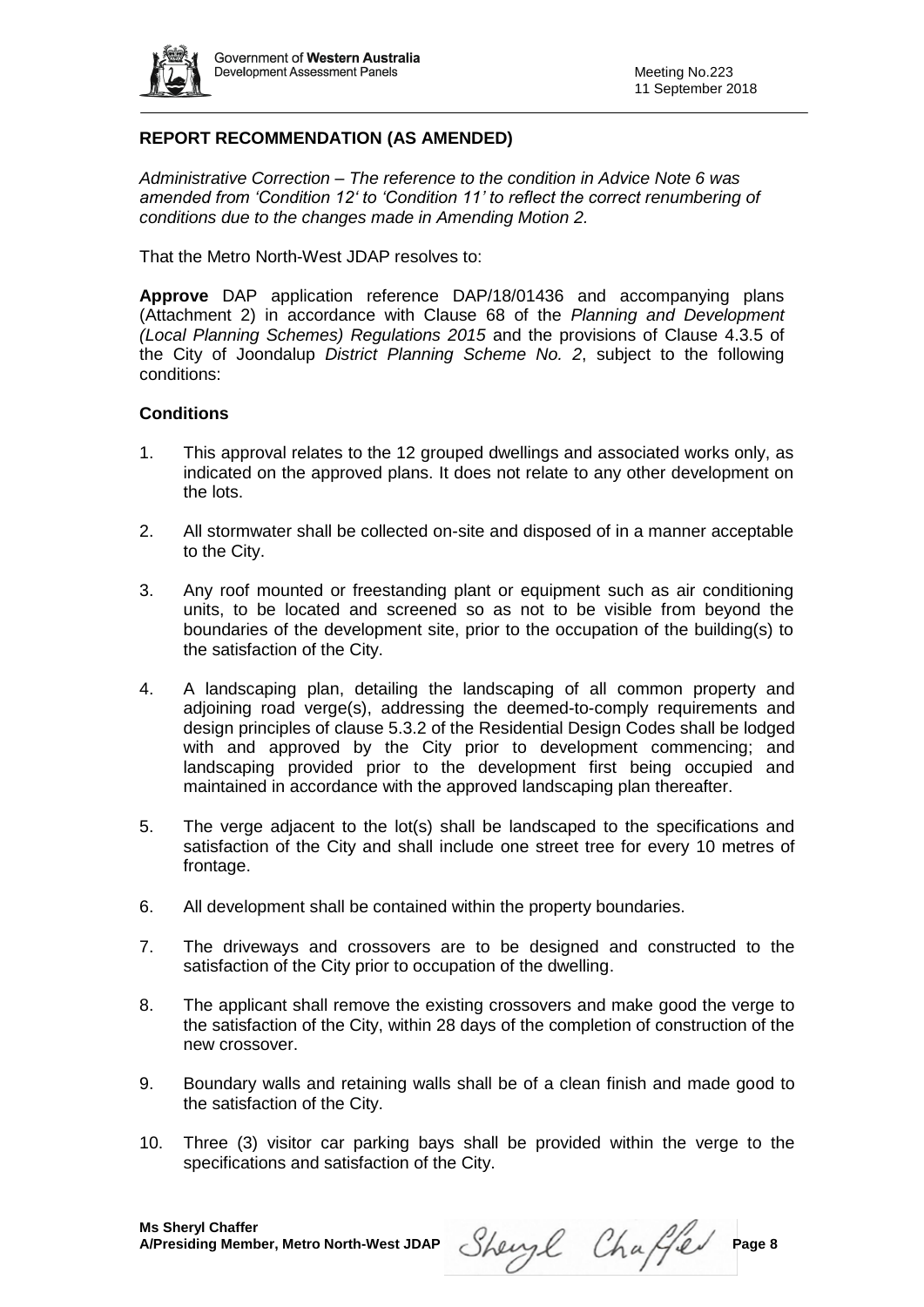

## **REPORT RECOMMENDATION (AS AMENDED)**

*Administrative Correction – The reference to the condition in Advice Note 6 was amended from 'Condition 12' to 'Condition 11' to reflect the correct renumbering of conditions due to the changes made in Amending Motion 2.* 

That the Metro North-West JDAP resolves to:

**Approve** DAP application reference DAP/18/01436 and accompanying plans (Attachment 2) in accordance with Clause 68 of the *Planning and Development (Local Planning Schemes) Regulations 2015* and the provisions of Clause 4.3.5 of the City of Joondalup *District Planning Scheme No. 2*, subject to the following conditions:

#### **Conditions**

- 1. This approval relates to the 12 grouped dwellings and associated works only, as indicated on the approved plans. It does not relate to any other development on the lots.
- 2. All stormwater shall be collected on-site and disposed of in a manner acceptable to the City.
- 3. Any roof mounted or freestanding plant or equipment such as air conditioning units, to be located and screened so as not to be visible from beyond the boundaries of the development site, prior to the occupation of the building(s) to the satisfaction of the City.
- 4. A landscaping plan, detailing the landscaping of all common property and adjoining road verge(s), addressing the deemed-to-comply requirements and design principles of clause 5.3.2 of the Residential Design Codes shall be lodged with and approved by the City prior to development commencing; and landscaping provided prior to the development first being occupied and maintained in accordance with the approved landscaping plan thereafter.
- 5. The verge adjacent to the lot(s) shall be landscaped to the specifications and satisfaction of the City and shall include one street tree for every 10 metres of frontage.
- 6. All development shall be contained within the property boundaries.
- 7. The driveways and crossovers are to be designed and constructed to the satisfaction of the City prior to occupation of the dwelling.
- 8. The applicant shall remove the existing crossovers and make good the verge to the satisfaction of the City, within 28 days of the completion of construction of the new crossover.
- 9. Boundary walls and retaining walls shall be of a clean finish and made good to the satisfaction of the City.
- 10. Three (3) visitor car parking bays shall be provided within the verge to the specifications and satisfaction of the City.

Sheryl Chaffer Page 8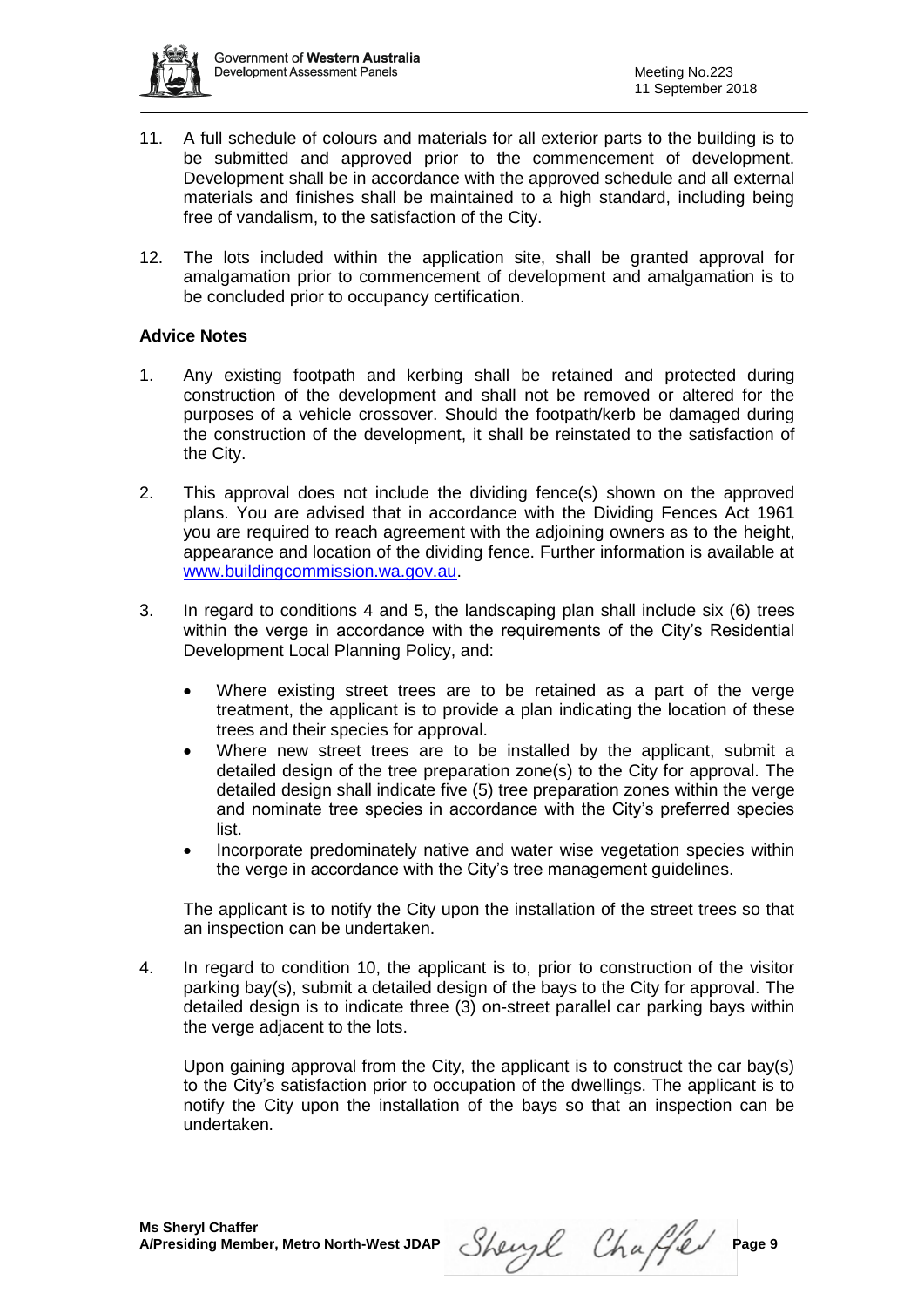

- 11. A full schedule of colours and materials for all exterior parts to the building is to be submitted and approved prior to the commencement of development. Development shall be in accordance with the approved schedule and all external materials and finishes shall be maintained to a high standard, including being free of vandalism, to the satisfaction of the City.
- 12. The lots included within the application site, shall be granted approval for amalgamation prior to commencement of development and amalgamation is to be concluded prior to occupancy certification.

#### **Advice Notes**

- 1. Any existing footpath and kerbing shall be retained and protected during construction of the development and shall not be removed or altered for the purposes of a vehicle crossover. Should the footpath/kerb be damaged during the construction of the development, it shall be reinstated to the satisfaction of the City.
- 2. This approval does not include the dividing fence(s) shown on the approved plans. You are advised that in accordance with the Dividing Fences Act 1961 you are required to reach agreement with the adjoining owners as to the height, appearance and location of the dividing fence. Further information is available at [www.buildingcommission.wa.gov.au.](http://www.buildingcommission.wa.gov.au/)
- 3. In regard to conditions 4 and 5, the landscaping plan shall include six (6) trees within the verge in accordance with the requirements of the City's Residential Development Local Planning Policy, and:
	- Where existing street trees are to be retained as a part of the verge treatment, the applicant is to provide a plan indicating the location of these trees and their species for approval.
	- Where new street trees are to be installed by the applicant, submit a detailed design of the tree preparation zone(s) to the City for approval. The detailed design shall indicate five (5) tree preparation zones within the verge and nominate tree species in accordance with the City's preferred species list.
	- Incorporate predominately native and water wise vegetation species within the verge in accordance with the City's tree management guidelines.

The applicant is to notify the City upon the installation of the street trees so that an inspection can be undertaken.

4. In regard to condition 10, the applicant is to, prior to construction of the visitor parking bay(s), submit a detailed design of the bays to the City for approval. The detailed design is to indicate three (3) on-street parallel car parking bays within the verge adjacent to the lots.

Upon gaining approval from the City, the applicant is to construct the car bay(s) to the City's satisfaction prior to occupation of the dwellings. The applicant is to notify the City upon the installation of the bays so that an inspection can be undertaken.

A/Presiding Member, Metro North-West JDAP Sherryl Chaffeld Page 9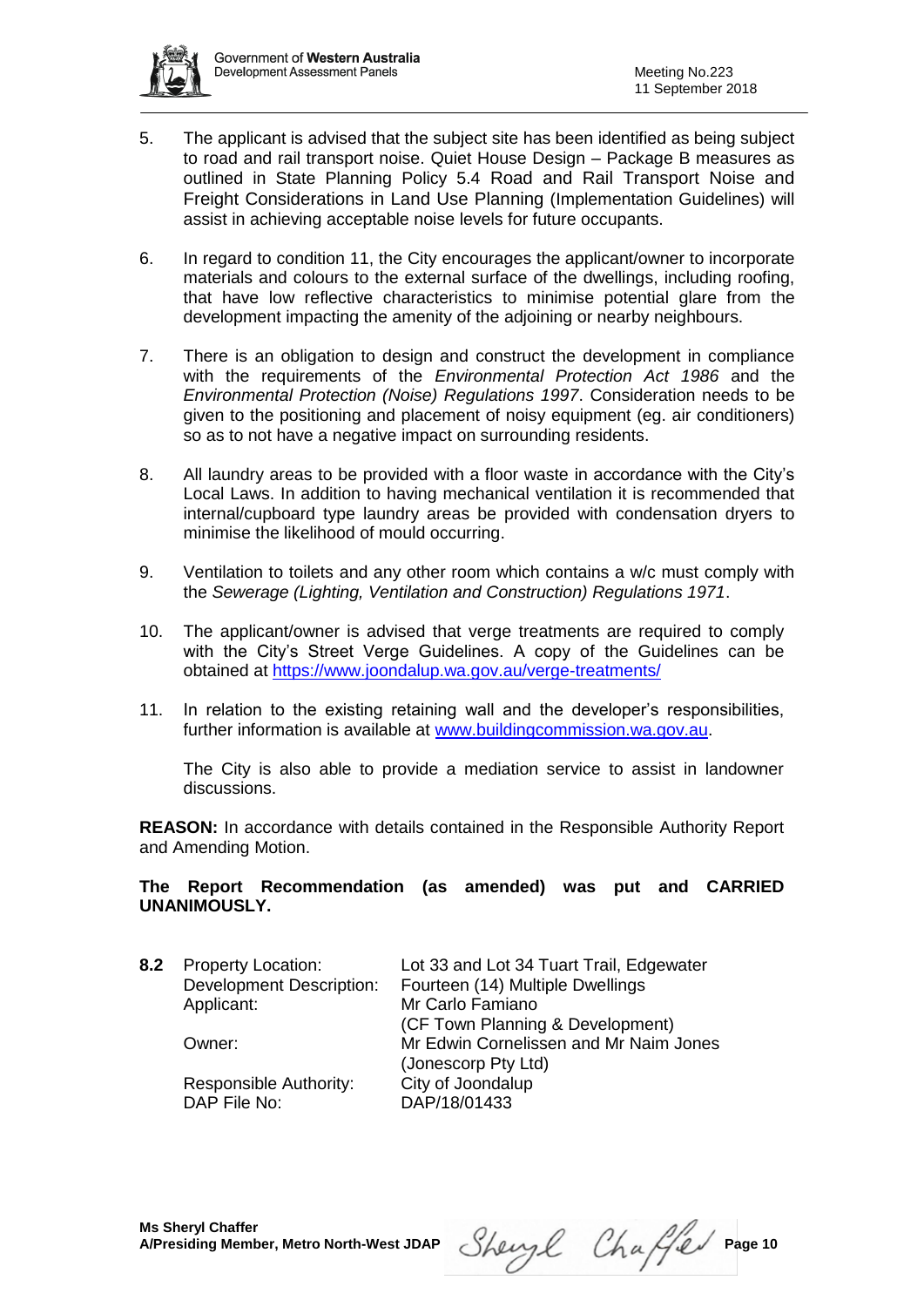

- 5. The applicant is advised that the subject site has been identified as being subject to road and rail transport noise. Quiet House Design – Package B measures as outlined in State Planning Policy 5.4 Road and Rail Transport Noise and Freight Considerations in Land Use Planning (Implementation Guidelines) will assist in achieving acceptable noise levels for future occupants.
- 6. In regard to condition 11, the City encourages the applicant/owner to incorporate materials and colours to the external surface of the dwellings, including roofing, that have low reflective characteristics to minimise potential glare from the development impacting the amenity of the adjoining or nearby neighbours.
- 7. There is an obligation to design and construct the development in compliance with the requirements of the *Environmental Protection Act 1986* and the *Environmental Protection (Noise) Regulations 1997*. Consideration needs to be given to the positioning and placement of noisy equipment (eg. air conditioners) so as to not have a negative impact on surrounding residents.
- 8. All laundry areas to be provided with a floor waste in accordance with the City's Local Laws. In addition to having mechanical ventilation it is recommended that internal/cupboard type laundry areas be provided with condensation dryers to minimise the likelihood of mould occurring.
- 9. Ventilation to toilets and any other room which contains a w/c must comply with the *Sewerage (Lighting, Ventilation and Construction) Regulations 1971*.
- 10. The applicant/owner is advised that verge treatments are required to comply with the City's Street Verge Guidelines. A copy of the Guidelines can be obtained at<https://www.joondalup.wa.gov.au/verge-treatments/>
- 11. In relation to the existing retaining wall and the developer's responsibilities, further information is available at [www.buildingcommission.wa.gov.au.](http://www.buildingcommission.wa.gov.au/)

The City is also able to provide a mediation service to assist in landowner discussions.

**REASON:** In accordance with details contained in the Responsible Authority Report and Amending Motion.

#### **The Report Recommendation (as amended) was put and CARRIED UNANIMOUSLY.**

| <b>Property Location:</b><br><b>Development Description:</b><br>Applicant:<br>Owner:<br>Responsible Authority: | Lot 33 and Lot 34 Tuart Trail, Edgewater<br>Fourteen (14) Multiple Dwellings<br>Mr Carlo Famiano<br>(CF Town Planning & Development)<br>Mr Edwin Cornelissen and Mr Naim Jones<br>(Jonescorp Pty Ltd)<br>City of Joondalup<br>DAP/18/01433 |
|----------------------------------------------------------------------------------------------------------------|--------------------------------------------------------------------------------------------------------------------------------------------------------------------------------------------------------------------------------------------|
|                                                                                                                |                                                                                                                                                                                                                                            |
|                                                                                                                | DAP File No:                                                                                                                                                                                                                               |

Sheryl Chaffer Page 10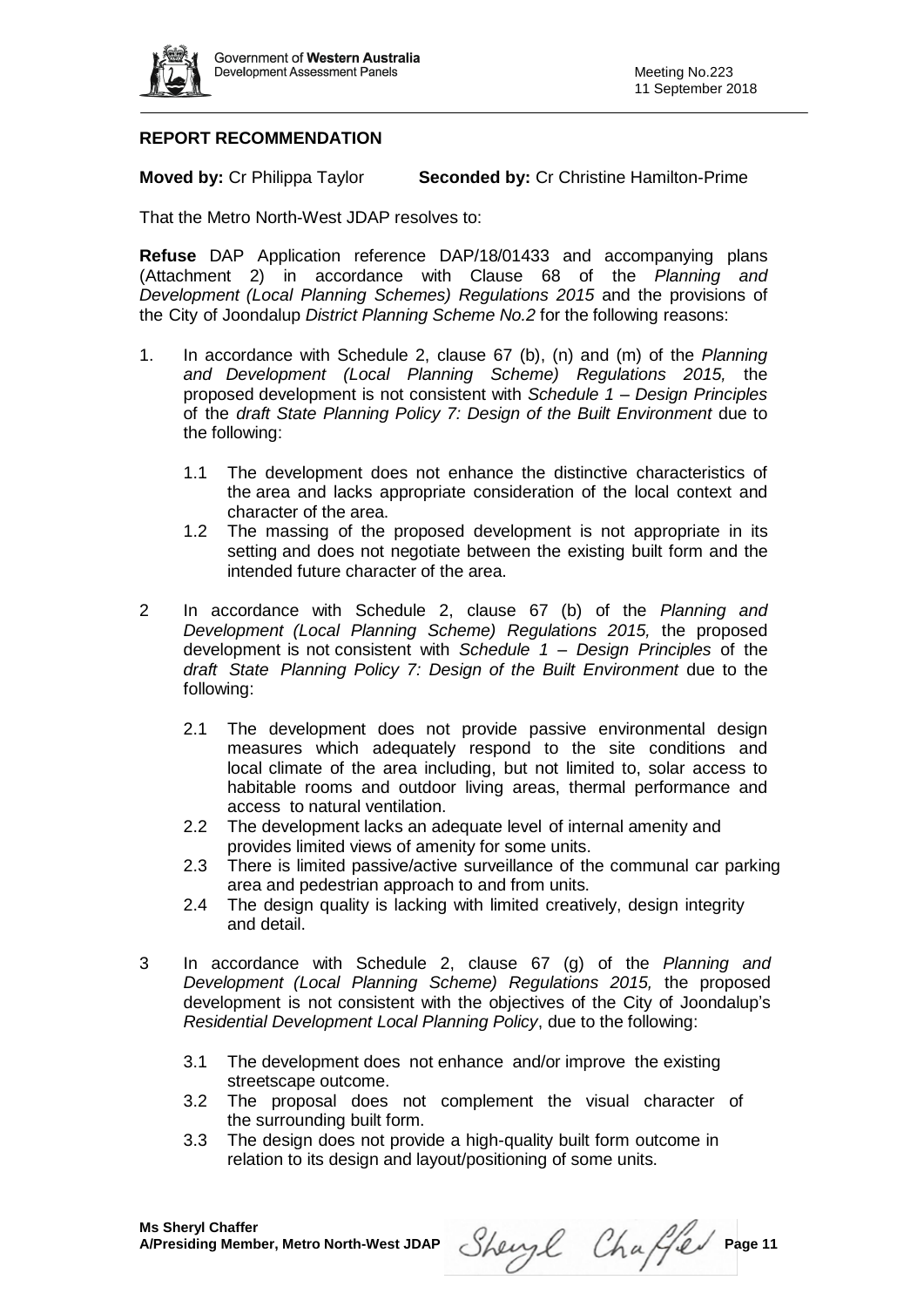

## **REPORT RECOMMENDATION**

**Moved by:** Cr Philippa Taylor **Seconded by:** Cr Christine Hamilton-Prime

That the Metro North-West JDAP resolves to:

**Refuse** DAP Application reference DAP/18/01433 and accompanying plans (Attachment 2) in accordance with Clause 68 of the *Planning and Development (Local Planning Schemes) Regulations 2015* and the provisions of the City of Joondalup *District Planning Scheme No.2* for the following reasons:

- 1. In accordance with Schedule 2, clause 67 (b), (n) and (m) of the *Planning and Development (Local Planning Scheme) Regulations 2015,* the proposed development is not consistent with *Schedule 1 – Design Principles* of the *draft State Planning Policy 7: Design of the Built Environment* due to the following:
	- 1.1 The development does not enhance the distinctive characteristics of the area and lacks appropriate consideration of the local context and character of the area.
	- 1.2 The massing of the proposed development is not appropriate in its setting and does not negotiate between the existing built form and the intended future character of the area.
- 2 In accordance with Schedule 2, clause 67 (b) of the *Planning and Development (Local Planning Scheme) Regulations 2015,* the proposed development is not consistent with *Schedule 1 – Design Principles* of the *draft State Planning Policy 7: Design of the Built Environment* due to the following:
	- 2.1 The development does not provide passive environmental design measures which adequately respond to the site conditions and local climate of the area including, but not limited to, solar access to habitable rooms and outdoor living areas, thermal performance and access to natural ventilation.
	- 2.2 The development lacks an adequate level of internal amenity and provides limited views of amenity for some units.
	- 2.3 There is limited passive/active surveillance of the communal car parking area and pedestrian approach to and from units.
	- 2.4 The design quality is lacking with limited creatively, design integrity and detail.
- 3 In accordance with Schedule 2, clause 67 (g) of the *Planning and Development (Local Planning Scheme) Regulations 2015,* the proposed development is not consistent with the objectives of the City of Joondalup's *Residential Development Local Planning Policy*, due to the following:
	- 3.1 The development does not enhance and/or improve the existing streetscape outcome.
	- 3.2 The proposal does not complement the visual character of the surrounding built form.
	- 3.3 The design does not provide a high-quality built form outcome in relation to its design and layout/positioning of some units.

Sheryl Chaffer Page 11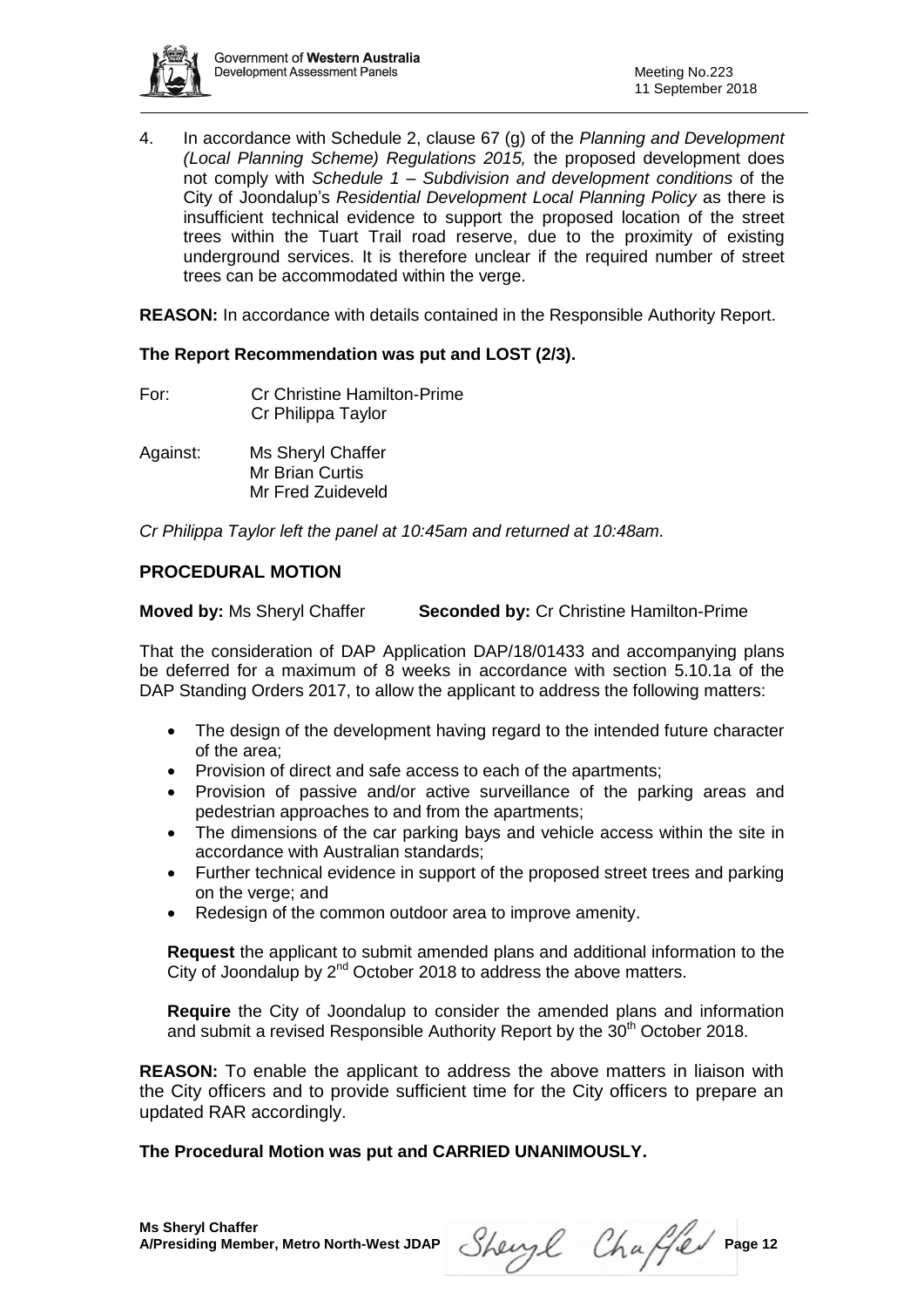

4. In accordance with Schedule 2, clause 67 (g) of the *Planning and Development (Local Planning Scheme) Regulations 2015,* the proposed development does not comply with *Schedule 1 – Subdivision and development conditions* of the City of Joondalup's *Residential Development Local Planning Policy* as there is insufficient technical evidence to support the proposed location of the street trees within the Tuart Trail road reserve, due to the proximity of existing underground services. It is therefore unclear if the required number of street trees can be accommodated within the verge.

**REASON:** In accordance with details contained in the Responsible Authority Report.

#### **The Report Recommendation was put and LOST (2/3).**

- For: Cr Christine Hamilton-Prime Cr Philippa Taylor
- Against: Ms Sheryl Chaffer Mr Brian Curtis Mr Fred Zuideveld

*Cr Philippa Taylor left the panel at 10:45am and returned at 10:48am.*

## **PROCEDURAL MOTION**

**Moved by:** Ms Sheryl Chaffer **Seconded by:** Cr Christine Hamilton-Prime

That the consideration of DAP Application DAP/18/01433 and accompanying plans be deferred for a maximum of 8 weeks in accordance with section 5.10.1a of the DAP Standing Orders 2017, to allow the applicant to address the following matters:

- The design of the development having regard to the intended future character of the area;
- Provision of direct and safe access to each of the apartments;
- Provision of passive and/or active surveillance of the parking areas and pedestrian approaches to and from the apartments;
- The dimensions of the car parking bays and vehicle access within the site in accordance with Australian standards;
- Further technical evidence in support of the proposed street trees and parking on the verge; and
- Redesign of the common outdoor area to improve amenity.

**Request** the applicant to submit amended plans and additional information to the City of Joondalup by 2<sup>nd</sup> October 2018 to address the above matters.

**Require** the City of Joondalup to consider the amended plans and information and submit a revised Responsible Authority Report by the 30<sup>th</sup> October 2018.

**REASON:** To enable the applicant to address the above matters in liaison with the City officers and to provide sufficient time for the City officers to prepare an updated RAR accordingly.

## **The Procedural Motion was put and CARRIED UNANIMOUSLY.**

Sheryl Chaffer Page 12